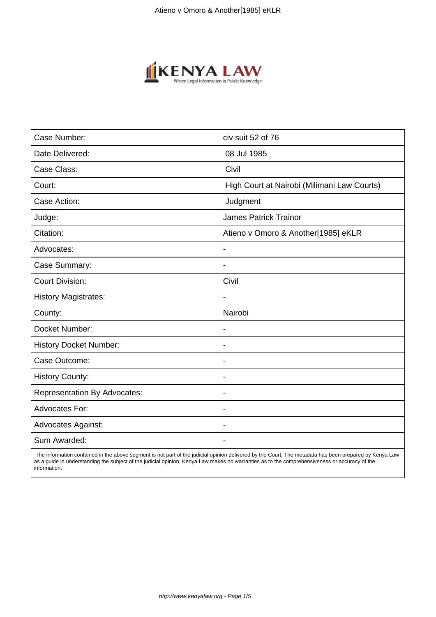

| Case Number:                        | civ suit 52 of 76                           |
|-------------------------------------|---------------------------------------------|
| Date Delivered:                     | 08 Jul 1985                                 |
| Case Class:                         | Civil                                       |
| Court:                              | High Court at Nairobi (Milimani Law Courts) |
| Case Action:                        | Judgment                                    |
| Judge:                              | <b>James Patrick Trainor</b>                |
| Citation:                           | Atieno v Omoro & Another[1985] eKLR         |
| Advocates:                          | $\overline{\phantom{a}}$                    |
| Case Summary:                       | $\blacksquare$                              |
| <b>Court Division:</b>              | Civil                                       |
| <b>History Magistrates:</b>         |                                             |
| County:                             | Nairobi                                     |
| Docket Number:                      |                                             |
| <b>History Docket Number:</b>       | $\blacksquare$                              |
| Case Outcome:                       | $\blacksquare$                              |
| <b>History County:</b>              | $\overline{\phantom{0}}$                    |
| <b>Representation By Advocates:</b> | $\blacksquare$                              |
| Advocates For:                      | $\overline{\phantom{a}}$                    |
| <b>Advocates Against:</b>           |                                             |
| Sum Awarded:                        |                                             |

 The information contained in the above segment is not part of the judicial opinion delivered by the Court. The metadata has been prepared by Kenya Law as a guide in understanding the subject of the judicial opinion. Kenya Law makes no warranties as to the comprehensiveness or accuracy of the information.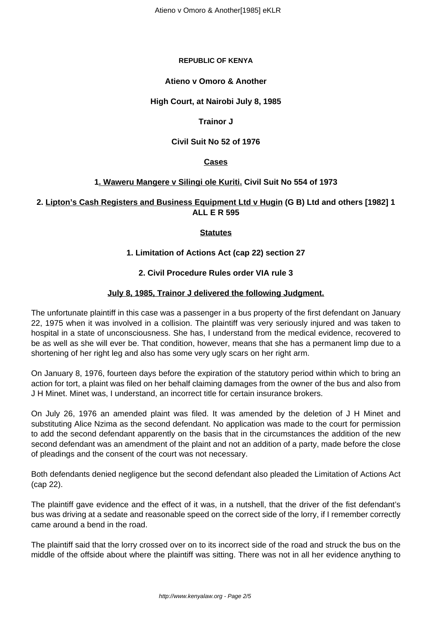#### **REPUBLIC OF KENYA**

#### **Atieno v Omoro & Another**

## **High Court, at Nairobi July 8, 1985**

#### **Trainor J**

## **Civil Suit No 52 of 1976**

## **Cases**

## **1. Waweru Mangere v Silingi ole Kuriti. Civil Suit No 554 of 1973**

# **2. Lipton's Cash Registers and Business Equipment Ltd v Hugin (G B) Ltd and others [1982] 1 ALL E R 595**

## **Statutes**

## **1. Limitation of Actions Act (cap 22) section 27**

## **2. Civil Procedure Rules order VIA rule 3**

#### **July 8, 1985, Trainor J delivered the following Judgment.**

The unfortunate plaintiff in this case was a passenger in a bus property of the first defendant on January 22, 1975 when it was involved in a collision. The plaintiff was very seriously injured and was taken to hospital in a state of unconsciousness. She has, I understand from the medical evidence, recovered to be as well as she will ever be. That condition, however, means that she has a permanent limp due to a shortening of her right leg and also has some very ugly scars on her right arm.

On January 8, 1976, fourteen days before the expiration of the statutory period within which to bring an action for tort, a plaint was filed on her behalf claiming damages from the owner of the bus and also from J H Minet. Minet was, I understand, an incorrect title for certain insurance brokers.

On July 26, 1976 an amended plaint was filed. It was amended by the deletion of J H Minet and substituting Alice Nzima as the second defendant. No application was made to the court for permission to add the second defendant apparently on the basis that in the circumstances the addition of the new second defendant was an amendment of the plaint and not an addition of a party, made before the close of pleadings and the consent of the court was not necessary.

Both defendants denied negligence but the second defendant also pleaded the Limitation of Actions Act (cap 22).

The plaintiff gave evidence and the effect of it was, in a nutshell, that the driver of the fist defendant's bus was driving at a sedate and reasonable speed on the correct side of the lorry, if I remember correctly came around a bend in the road.

The plaintiff said that the lorry crossed over on to its incorrect side of the road and struck the bus on the middle of the offside about where the plaintiff was sitting. There was not in all her evidence anything to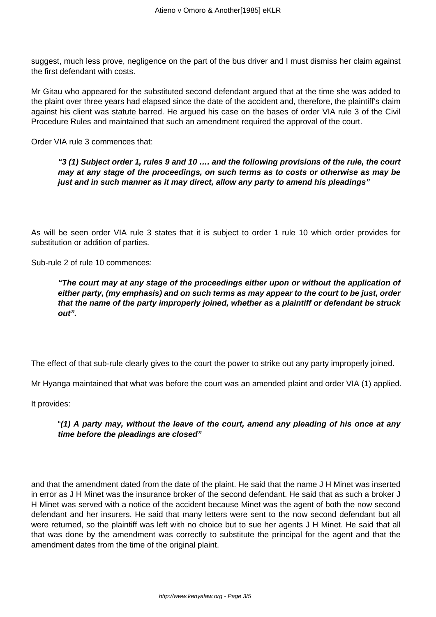suggest, much less prove, negligence on the part of the bus driver and I must dismiss her claim against the first defendant with costs.

Mr Gitau who appeared for the substituted second defendant argued that at the time she was added to the plaint over three years had elapsed since the date of the accident and, therefore, the plaintiff's claim against his client was statute barred. He argued his case on the bases of order VIA rule 3 of the Civil Procedure Rules and maintained that such an amendment required the approval of the court.

Order VIA rule 3 commences that:

**"3 (1) Subject order 1, rules 9 and 10 …. and the following provisions of the rule, the court may at any stage of the proceedings, on such terms as to costs or otherwise as may be just and in such manner as it may direct, allow any party to amend his pleadings"** 

As will be seen order VIA rule 3 states that it is subject to order 1 rule 10 which order provides for substitution or addition of parties.

Sub-rule 2 of rule 10 commences:

**"The court may at any stage of the proceedings either upon or without the application of either party, (my emphasis) and on such terms as may appear to the court to be just, order that the name of the party improperly joined, whether as a plaintiff or defendant be struck out".** 

The effect of that sub-rule clearly gives to the court the power to strike out any party improperly joined.

Mr Hyanga maintained that what was before the court was an amended plaint and order VIA (1) applied.

It provides:

## "**(1) A party may, without the leave of the court, amend any pleading of his once at any time before the pleadings are closed"**

and that the amendment dated from the date of the plaint. He said that the name J H Minet was inserted in error as J H Minet was the insurance broker of the second defendant. He said that as such a broker J H Minet was served with a notice of the accident because Minet was the agent of both the now second defendant and her insurers. He said that many letters were sent to the now second defendant but all were returned, so the plaintiff was left with no choice but to sue her agents J H Minet. He said that all that was done by the amendment was correctly to substitute the principal for the agent and that the amendment dates from the time of the original plaint.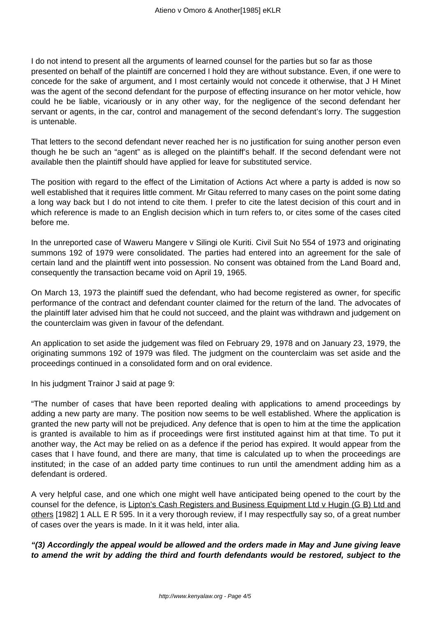I do not intend to present all the arguments of learned counsel for the parties but so far as those presented on behalf of the plaintiff are concerned I hold they are without substance. Even, if one were to concede for the sake of argument, and I most certainly would not concede it otherwise, that J H Minet was the agent of the second defendant for the purpose of effecting insurance on her motor vehicle, how could he be liable, vicariously or in any other way, for the negligence of the second defendant her servant or agents, in the car, control and management of the second defendant's lorry. The suggestion is untenable.

That letters to the second defendant never reached her is no justification for suing another person even though he be such an "agent" as is alleged on the plaintiff's behalf. If the second defendant were not available then the plaintiff should have applied for leave for substituted service.

The position with regard to the effect of the Limitation of Actions Act where a party is added is now so well established that it requires little comment. Mr Gitau referred to many cases on the point some dating a long way back but I do not intend to cite them. I prefer to cite the latest decision of this court and in which reference is made to an English decision which in turn refers to, or cites some of the cases cited before me.

In the unreported case of Waweru Mangere v Silingi ole Kuriti. Civil Suit No 554 of 1973 and originating summons 192 of 1979 were consolidated. The parties had entered into an agreement for the sale of certain land and the plaintiff went into possession. No consent was obtained from the Land Board and, consequently the transaction became void on April 19, 1965.

On March 13, 1973 the plaintiff sued the defendant, who had become registered as owner, for specific performance of the contract and defendant counter claimed for the return of the land. The advocates of the plaintiff later advised him that he could not succeed, and the plaint was withdrawn and judgement on the counterclaim was given in favour of the defendant.

An application to set aside the judgement was filed on February 29, 1978 and on January 23, 1979, the originating summons 192 of 1979 was filed. The judgment on the counterclaim was set aside and the proceedings continued in a consolidated form and on oral evidence.

In his judgment Trainor J said at page 9:

"The number of cases that have been reported dealing with applications to amend proceedings by adding a new party are many. The position now seems to be well established. Where the application is granted the new party will not be prejudiced. Any defence that is open to him at the time the application is granted is available to him as if proceedings were first instituted against him at that time. To put it another way, the Act may be relied on as a defence if the period has expired. It would appear from the cases that I have found, and there are many, that time is calculated up to when the proceedings are instituted; in the case of an added party time continues to run until the amendment adding him as a defendant is ordered.

A very helpful case, and one which one might well have anticipated being opened to the court by the counsel for the defence, is Lipton's Cash Registers and Business Equipment Ltd v Hugin (G B) Ltd and others [1982] 1 ALL E R 595. In it a very thorough review, if I may respectfully say so, of a great number of cases over the years is made. In it it was held, inter alia.

**"(3) Accordingly the appeal would be allowed and the orders made in May and June giving leave to amend the writ by adding the third and fourth defendants would be restored, subject to the**